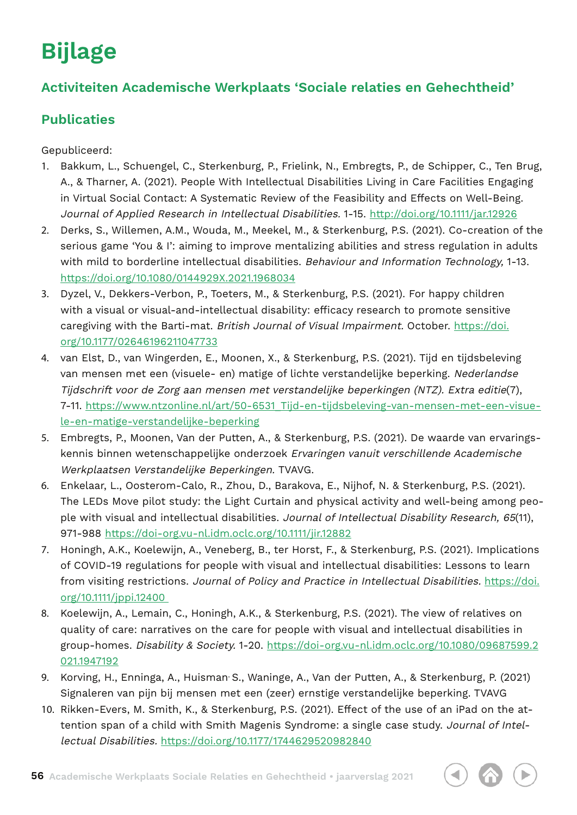# **Bijlage**

## **Activiteiten Academische Werkplaats 'Sociale relaties en Gehechtheid'**

## **Publicaties**

Gepubliceerd:

- 1. Bakkum, L., Schuengel, C., Sterkenburg, P., Frielink, N., Embregts, P., de Schipper, C., Ten Brug, A., & Tharner, A. (2021). People With Intellectual Disabilities Living in Care Facilities Engaging in Virtual Social Contact: A Systematic Review of the Feasibility and Effects on Well-Being. Journal of Applied Research in Intellectual Disabilities. 1-15. http://doi.org/10.1111/jar.12926
- 2. Derks, S., Willemen, A.M., Wouda, M., Meekel, M., & Sterkenburg, P.S. (2021). Co-creation of the serious game 'You & I': aiming to improve mentalizing abilities and stress regulation in adults with mild to borderline intellectual disabilities. Behaviour and Information Technology, 1-13. https://doi.org/10.1080/0144929X.2021.1968034
- 3. Dyzel, V., Dekkers-Verbon, P., Toeters, M., & Sterkenburg, P.S. (2021). For happy children with a visual or visual-and-intellectual disability: efficacy research to promote sensitive caregiving with the Barti-mat. British Journal of Visual Impairment. October. https://doi. org/10.1177/02646196211047733
- 4. van Elst, D., van Wingerden, E., Moonen, X., & Sterkenburg, P.S. (2021). Tijd en tijdsbeleving van mensen met een (visuele- en) matige of lichte verstandelijke beperking. Nederlandse Tijdschrift voor de Zorg aan mensen met verstandelijke beperkingen (NTZ). Extra editie(7), 7-11. https://www.ntzonline.nl/art/50-6531\_Tijd-en-tijdsbeleving-van-mensen-met-een-visuele-en-matige-verstandelijke-beperking
- 5. Embregts, P., Moonen, Van der Putten, A., & Sterkenburg, P.S. (2021). De waarde van ervaringskennis binnen wetenschappelijke onderzoek Ervaringen vanuit verschillende Academische Werkplaatsen Verstandelijke Beperkingen. TVAVG.
- 6. Enkelaar, L., Oosterom-Calo, R., Zhou, D., Barakova, E., Nijhof, N. & Sterkenburg, P.S. (2021). The LEDs Move pilot study: the Light Curtain and physical activity and well-being among people with visual and intellectual disabilities. Journal of Intellectual Disability Research, 65(11), 971-988 https://doi-org.vu-nl.idm.oclc.org/10.1111/jir.12882
- 7. Honingh, A.K., Koelewijn, A., Veneberg, B., ter Horst, F., & Sterkenburg, P.S. (2021). Implications of COVID-19 regulations for people with visual and intellectual disabilities: Lessons to learn from visiting restrictions. Journal of Policy and Practice in Intellectual Disabilities. https://doi. org/10.1111/jppi.12400
- 8. Koelewijn, A., Lemain, C., Honingh, A.K., & Sterkenburg, P.S. (2021). The view of relatives on quality of care: narratives on the care for people with visual and intellectual disabilities in group-homes. Disability & Society. 1-20. https://doi-org.vu-nl.idm.oclc.org/10.1080/09687599.2 021.1947192
- 9. Korving, H., Enninga, A., Huisman<sup>,</sup> S., Waninge, A., Van der Putten, A., & Sterkenburg, P. (2021) Signaleren van pijn bij mensen met een (zeer) ernstige verstandelijke beperking. TVAVG
- 10. Rikken-Evers, M. Smith, K., & Sterkenburg, P.S. (2021). Effect of the use of an iPad on the attention span of a child with Smith Magenis Syndrome: a single case study. Journal of Intellectual Disabilities. https://doi.org/10.1177/1744629520982840

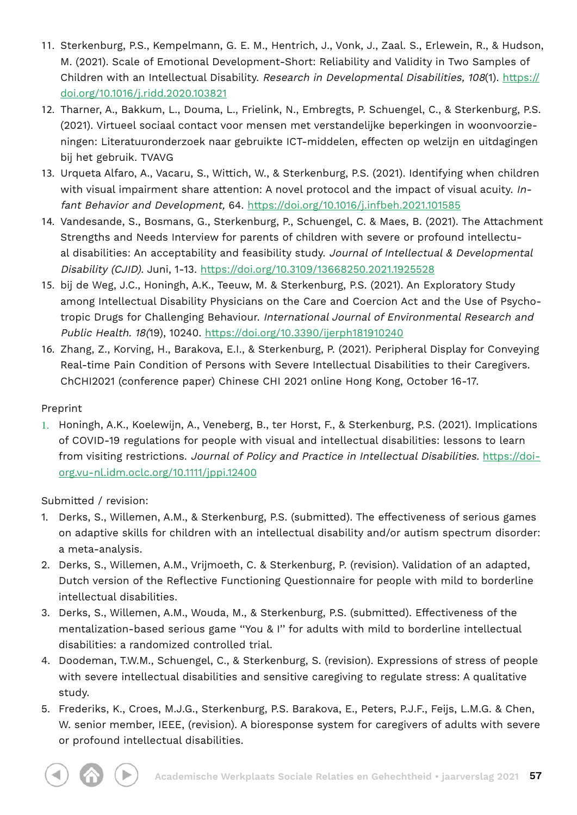- 11. Sterkenburg, P.S., Kempelmann, G. E. M., Hentrich, J., Vonk, J., Zaal. S., Erlewein, R., & Hudson, M. (2021). Scale of Emotional Development-Short: Reliability and Validity in Two Samples of Children with an Intellectual Disability. Research in Developmental Disabilities, 108(1). https:// doi.org/10.1016/j.ridd.2020.103821
- 12. Tharner, A., Bakkum, L., Douma, L., Frielink, N., Embregts, P. Schuengel, C., & Sterkenburg, P.S. (2021). Virtueel sociaal contact voor mensen met verstandelijke beperkingen in woonvoorzieningen: Literatuuronderzoek naar gebruikte ICT-middelen, effecten op welzijn en uitdagingen bij het gebruik. TVAVG
- 13. Urqueta Alfaro, A., Vacaru, S., Wittich, W., & Sterkenburg, P.S. (2021). Identifying when children with visual impairment share attention: A novel protocol and the impact of visual acuity. Infant Behavior and Development, 64. https://doi.org/10.1016/j.infbeh.2021.101585
- 14. Vandesande, S., Bosmans, G., Sterkenburg, P., Schuengel, C. & Maes, B. (2021). The Attachment Strengths and Needs Interview for parents of children with severe or profound intellectual disabilities: An acceptability and feasibility study. Journal of Intellectual & Developmental Disability (CJID). Juni, 1-13. https://doi.org/10.3109/13668250.2021.1925528
- 15. bij de Weg, J.C., Honingh, A.K., Teeuw, M. & Sterkenburg, P.S. (2021). An Exploratory Study among Intellectual Disability Physicians on the Care and Coercion Act and the Use of Psychotropic Drugs for Challenging Behaviour. International Journal of Environmental Research and Public Health. 18(19), 10240. https://doi.org/10.3390/ijerph181910240
- 16. Zhang, Z., Korving, H., Barakova, E.I., & Sterkenburg, P. (2021). Peripheral Display for Conveying Real-time Pain Condition of Persons with Severe Intellectual Disabilities to their Caregivers. ChCHI2021 (conference paper) Chinese CHI 2021 online Hong Kong, October 16-17.

#### Preprint

1. Honingh, A.K., Koelewijn, A., Veneberg, B., ter Horst, F., & Sterkenburg, P.S. (2021). Implications of COVID-19 regulations for people with visual and intellectual disabilities: lessons to learn from visiting restrictions. Journal of Policy and Practice in Intellectual Disabilities. https://doiorg.vu-nl.idm.oclc.org/10.1111/jppi.12400

Submitted / revision:

- 1. Derks, S., Willemen, A.M., & Sterkenburg, P.S. (submitted). The effectiveness of serious games on adaptive skills for children with an intellectual disability and/or autism spectrum disorder: a meta-analysis.
- 2. Derks, S., Willemen, A.M., Vrijmoeth, C. & Sterkenburg, P. (revision). Validation of an adapted, Dutch version of the Reflective Functioning Questionnaire for people with mild to borderline intellectual disabilities.
- 3. Derks, S., Willemen, A.M., Wouda, M., & Sterkenburg, P.S. (submitted). Effectiveness of the mentalization-based serious game "You & I" for adults with mild to borderline intellectual disabilities: a randomized controlled trial.
- 4. Doodeman, T.W.M., Schuengel, C., & Sterkenburg, S. (revision). Expressions of stress of people with severe intellectual disabilities and sensitive caregiving to regulate stress: A qualitative study.
- 5. Frederiks, K., Croes, M.J.G., Sterkenburg, P.S. Barakova, E., Peters, P.J.F., Feijs, L.M.G. & Chen, W. senior member, IEEE, (revision). A bioresponse system for caregivers of adults with severe or profound intellectual disabilities.

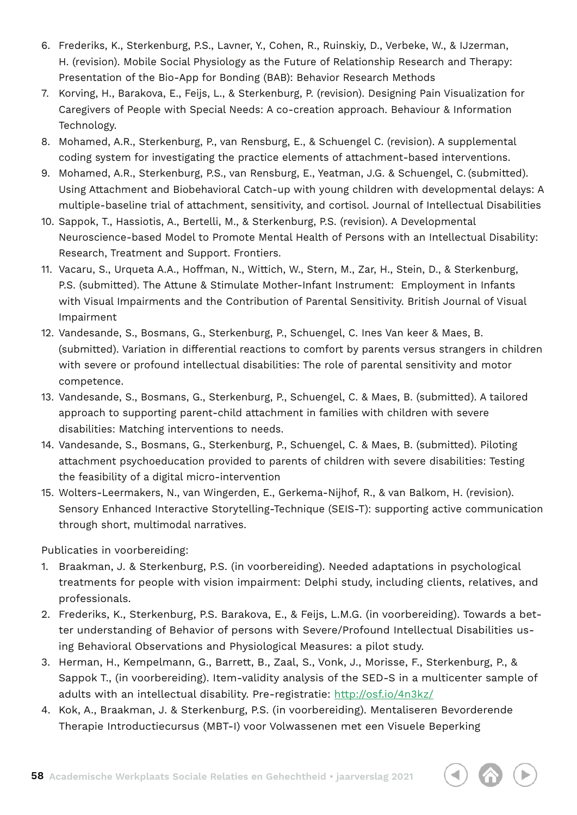- 6. Frederiks, K., Sterkenburg, P.S., Lavner, Y., Cohen, R., Ruinskiy, D., Verbeke, W., & IJzerman, H. (revision). Mobile Social Physiology as the Future of Relationship Research and Therapy: Presentation of the Bio-App for Bonding (BAB): Behavior Research Methods
- 7. Korving, H., Barakova, E., Feijs, L., & Sterkenburg, P. (revision). Designing Pain Visualization for Caregivers of People with Special Needs: A co-creation approach. Behaviour & Information Technology.
- 8. Mohamed, A.R., Sterkenburg, P., van Rensburg, E., & Schuengel C. (revision). A supplemental coding system for investigating the practice elements of attachment-based interventions.
- 9. Mohamed, A.R., Sterkenburg, P.S., van Rensburg, E., Yeatman, J.G. & Schuengel, C. (submitted). Using Attachment and Biobehavioral Catch-up with young children with developmental delays: A multiple-baseline trial of attachment, sensitivity, and cortisol. Journal of Intellectual Disabilities
- 10. Sappok, T., Hassiotis, A., Bertelli, M., & Sterkenburg, P.S. (revision). A Developmental Neuroscience-based Model to Promote Mental Health of Persons with an Intellectual Disability: Research, Treatment and Support. Frontiers.
- 11. Vacaru, S., Urqueta A.A., Hoffman, N., Wittich, W., Stern, M., Zar, H., Stein, D., & Sterkenburg, P.S. (submitted). The Attune & Stimulate Mother-Infant Instrument: Employment in Infants with Visual Impairments and the Contribution of Parental Sensitivity. British Journal of Visual Impairment
- 12. Vandesande, S., Bosmans, G., Sterkenburg, P., Schuengel, C. Ines Van keer & Maes, B. (submitted). Variation in differential reactions to comfort by parents versus strangers in children with severe or profound intellectual disabilities: The role of parental sensitivity and motor competence.
- 13. Vandesande, S., Bosmans, G., Sterkenburg, P., Schuengel, C. & Maes, B. (submitted). A tailored approach to supporting parent-child attachment in families with children with severe disabilities: Matching interventions to needs.
- 14. Vandesande, S., Bosmans, G., Sterkenburg, P., Schuengel, C. & Maes, B. (submitted). Piloting attachment psychoeducation provided to parents of children with severe disabilities: Testing the feasibility of a digital micro-intervention
- 15. Wolters-Leermakers, N., van Wingerden, E., Gerkema-Nijhof, R., & van Balkom, H. (revision). Sensory Enhanced Interactive Storytelling-Technique (SEIS-T): supporting active communication through short, multimodal narratives.

Publicaties in voorbereiding:

- 1. Braakman, J. & Sterkenburg, P.S. (in voorbereiding). Needed adaptations in psychological treatments for people with vision impairment: Delphi study, including clients, relatives, and professionals.
- 2. Frederiks, K., Sterkenburg, P.S. Barakova, E., & Feijs, L.M.G. (in voorbereiding). Towards a better understanding of Behavior of persons with Severe/Profound Intellectual Disabilities using Behavioral Observations and Physiological Measures: a pilot study.
- 3. Herman, H., Kempelmann, G., Barrett, B., Zaal, S., Vonk, J., Morisse, F., Sterkenburg, P., & Sappok T., (in voorbereiding). Item-validity analysis of the SED-S in a multicenter sample of adults with an intellectual disability. Pre-registratie: http://osf.io/4n3kz/
- 4. Kok, A., Braakman, J. & Sterkenburg, P.S. (in voorbereiding). Mentaliseren Bevorderende Therapie Introductiecursus (MBT-I) voor Volwassenen met een Visuele Beperking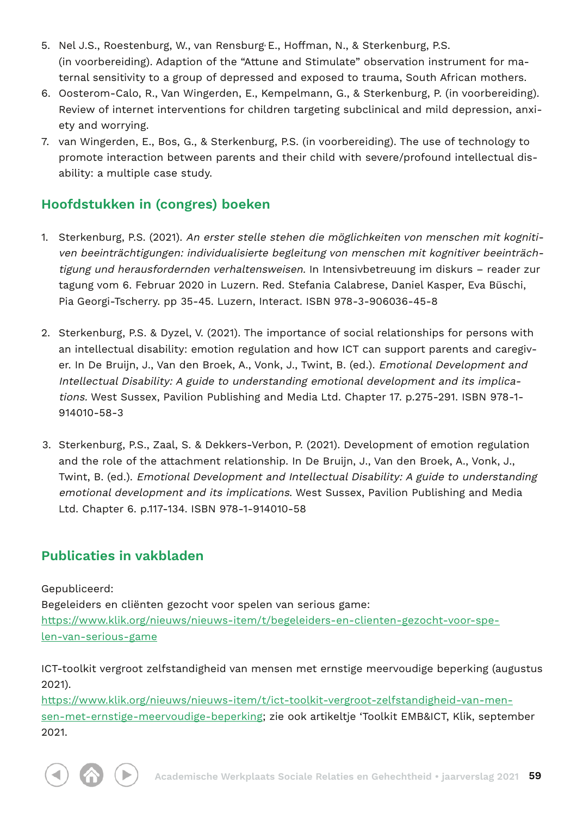- 5. Nel J.S., Roestenburg, W., van Rensburg**,** E., Hoffman, N., & Sterkenburg, P.S. (in voorbereiding). Adaption of the "Attune and Stimulate" observation instrument for maternal sensitivity to a group of depressed and exposed to trauma, South African mothers.
- 6. Oosterom-Calo, R., Van Wingerden, E., Kempelmann, G., & Sterkenburg, P. (in voorbereiding). Review of internet interventions for children targeting subclinical and mild depression, anxiety and worrying.
- 7. van Wingerden, E., Bos, G., & Sterkenburg, P.S. (in voorbereiding). The use of technology to promote interaction between parents and their child with severe/profound intellectual disability: a multiple case study.

## **Hoofdstukken in (congres) boeken**

- 1. Sterkenburg, P.S. (2021). An erster stelle stehen die möglichkeiten von menschen mit kognitiven beeinträchtigungen: individualisierte begleitung von menschen mit kognitiver beeinträchtigung und herausfordernden verhaltensweisen. In Intensivbetreuung im diskurs – reader zur tagung vom 6. Februar 2020 in Luzern. Red. Stefania Calabrese, Daniel Kasper, Eva Büschi, Pia Georgi-Tscherry. pp 35-45. Luzern, Interact. ISBN 978-3-906036-45-8
- 2. Sterkenburg, P.S. & Dyzel, V. (2021). The importance of social relationships for persons with an intellectual disability: emotion regulation and how ICT can support parents and caregiver. In De Bruijn, J., Van den Broek, A., Vonk, J., Twint, B. (ed.). Emotional Development and Intellectual Disability: A guide to understanding emotional development and its implications. West Sussex, Pavilion Publishing and Media Ltd. Chapter 17. p.275-291. ISBN 978-1- 914010-58-3
- 3. Sterkenburg, P.S., Zaal, S. & Dekkers-Verbon, P. (2021). Development of emotion regulation and the role of the attachment relationship. In De Bruijn, J., Van den Broek, A., Vonk, J., Twint, B. (ed.). Emotional Development and Intellectual Disability: A guide to understanding emotional development and its implications. West Sussex, Pavilion Publishing and Media Ltd. Chapter 6. p.117-134. ISBN 978-1-914010-58

## **Publicaties in vakbladen**

Gepubliceerd:

Begeleiders en cliënten gezocht voor spelen van serious game: https://www.klik.org/nieuws/nieuws-item/t/begeleiders-en-clienten-gezocht-voor-spelen-van-serious-game

ICT-toolkit vergroot zelfstandigheid van mensen met ernstige meervoudige beperking (augustus 2021).

https://www.klik.org/nieuws/nieuws-item/t/ict-toolkit-vergroot-zelfstandigheid-van-mensen-met-ernstige-meervoudige-beperking; zie ook artikeltje 'Toolkit EMB&ICT, Klik, september 2021.



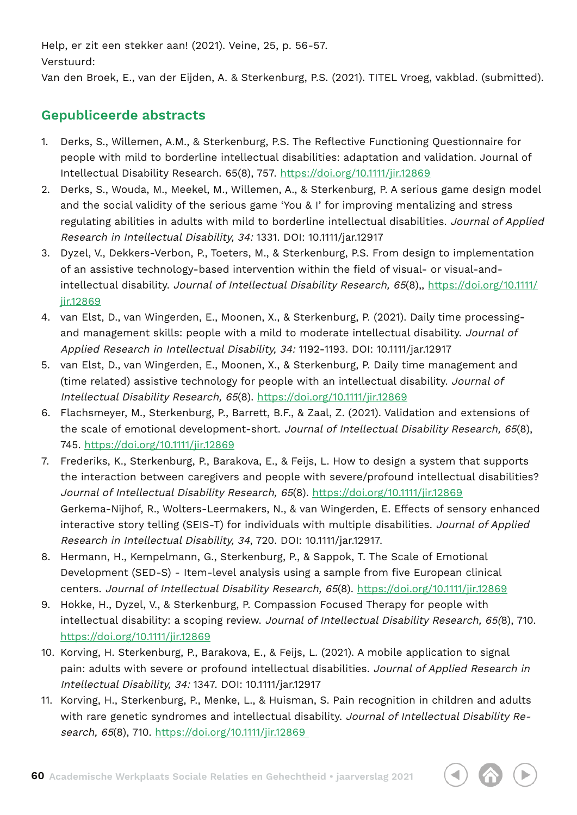Help, er zit een stekker aan! (2021). Veine, 25, p. 56-57. Verstuurd:

Van den Broek, E., van der Eijden, A. & Sterkenburg, P.S. (2021). TITEL Vroeg, vakblad. (submitted).

### **Gepubliceerde abstracts**

- 1. Derks, S., Willemen, A.M., & Sterkenburg, P.S. The Reflective Functioning Questionnaire for people with mild to borderline intellectual disabilities: adaptation and validation. Journal of Intellectual Disability Research. 65(8), 757. https://doi.org/10.1111/jir.12869
- 2. Derks, S., Wouda, M., Meekel, M., Willemen, A., & Sterkenburg, P. A serious game design model and the social validity of the serious game 'You & I' for improving mentalizing and stress regulating abilities in adults with mild to borderline intellectual disabilities. Journal of Applied Research in Intellectual Disability, 34: 1331. DOI: 10.1111/jar.12917
- 3. Dyzel, V., Dekkers-Verbon, P., Toeters, M., & Sterkenburg, P.S. From design to implementation of an assistive technology-based intervention within the field of visual- or visual-andintellectual disability. Journal of Intellectual Disability Research, 65(8),, https://doi.org/10.1111/ jir.12869
- 4. van Elst, D., van Wingerden, E., Moonen, X., & Sterkenburg, P. (2021). Daily time processingand management skills: people with a mild to moderate intellectual disability. Journal of Applied Research in Intellectual Disability, 34: 1192-1193. DOI: 10.1111/jar.12917
- 5. van Elst, D., van Wingerden, E., Moonen, X., & Sterkenburg, P. Daily time management and (time related) assistive technology for people with an intellectual disability. Journal of Intellectual Disability Research, 65(8). https://doi.org/10.1111/jir.12869
- 6. Flachsmeyer, M., Sterkenburg, P., Barrett, B.F., & Zaal, Z. (2021). Validation and extensions of the scale of emotional development-short. Journal of Intellectual Disability Research, 65(8), 745. https://doi.org/10.1111/jir.12869
- 7. Frederiks, K., Sterkenburg, P., Barakova, E., & Feijs, L. How to design a system that supports the interaction between caregivers and people with severe/profound intellectual disabilities? Journal of Intellectual Disability Research, 65(8). https://doi.org/10.1111/jir.12869 Gerkema-Nijhof, R., Wolters-Leermakers, N., & van Wingerden, E. Effects of sensory enhanced interactive story telling (SEIS-T) for individuals with multiple disabilities. Journal of Applied Research in Intellectual Disability, 34, 720. DOI: 10.1111/jar.12917.
- 8. Hermann, H., Kempelmann, G., Sterkenburg, P., & Sappok, T. The Scale of Emotional Development (SED-S) - Item-level analysis using a sample from five European clinical centers. Journal of Intellectual Disability Research, 65(8). https://doi.org/10.1111/jir.12869
- 9. Hokke, H., Dyzel, V., & Sterkenburg, P. Compassion Focused Therapy for people with intellectual disability: a scoping review. Journal of Intellectual Disability Research, 65(8), 710. https://doi.org/10.1111/jir.12869
- 10. Korving, H. Sterkenburg, P., Barakova, E., & Feijs, L. (2021). A mobile application to signal pain: adults with severe or profound intellectual disabilities. Journal of Applied Research in Intellectual Disability, 34: 1347. DOI: 10.1111/jar.12917
- 11. Korving, H., Sterkenburg, P., Menke, L., & Huisman, S. Pain recognition in children and adults with rare genetic syndromes and intellectual disability. Journal of Intellectual Disability Research, 65(8), 710. https://doi.org/10.1111/jir.12869